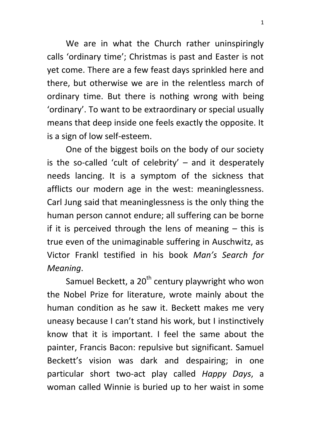We are in what the Church rather uninspiringly calls 'ordinary time'; Christmas is past and Easter is not yet come. There are a few feast days sprinkled here and there, but otherwise we are in the relentless march of ordinary time. But there is nothing wrong with being 'ordinary'. To want to be extraordinary or special usually means that deep inside one feels exactly the opposite. It is a sign of low self-esteem.

One of the biggest boils on the body of our society is the so-called 'cult of celebrity'  $-$  and it desperately needs lancing. It is a symptom of the sickness that afflicts our modern age in the west: meaninglessness. Carl Jung said that meaninglessness is the only thing the human person cannot endure; all suffering can be borne if it is perceived through the lens of meaning  $-$  this is true even of the unimaginable suffering in Auschwitz, as Victor Frankl testified in his book *Man's Search for Meaning*.

Samuel Beckett, a  $20<sup>th</sup>$  century playwright who won the Nobel Prize for literature, wrote mainly about the human condition as he saw it. Beckett makes me very uneasy because I can't stand his work, but I instinctively know that it is important. I feel the same about the painter, Francis Bacon: repulsive but significant. Samuel Beckett's vision was dark and despairing; in one particular short two-act play called *Happy Days*, a woman called Winnie is buried up to her waist in some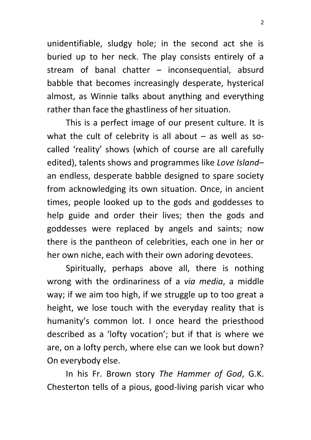unidentifiable, sludgy hole; in the second act she is buried up to her neck. The play consists entirely of a stream of banal chatter – inconsequential, absurd babble that becomes increasingly desperate, hysterical almost, as Winnie talks about anything and everything rather than face the ghastliness of her situation.

This is a perfect image of our present culture. It is what the cult of celebrity is all about  $-$  as well as socalled 'reality' shows (which of course are all carefully edited), talents shows and programmes like *Love Island*– an endless, desperate babble designed to spare society from acknowledging its own situation. Once, in ancient times, people looked up to the gods and goddesses to help guide and order their lives; then the gods and goddesses were replaced by angels and saints; now there is the pantheon of celebrities, each one in her or her own niche, each with their own adoring devotees.

Spiritually, perhaps above all, there is nothing wrong with the ordinariness of a *via media*, a middle way; if we aim too high, if we struggle up to too great a height, we lose touch with the everyday reality that is humanity's common lot. I once heard the priesthood described as a 'lofty vocation'; but if that is where we are, on a lofty perch, where else can we look but down? On everybody else.

In his Fr. Brown story *The Hammer of God*, G.K. Chesterton tells of a pious, good-living parish vicar who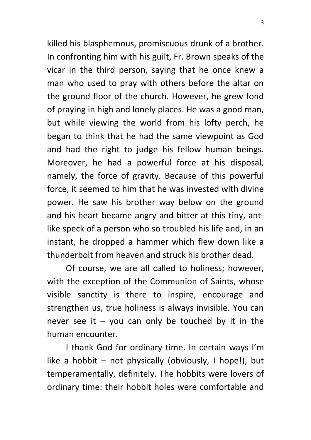killed his blasphemous, promiscuous drunk of a brother. In confronting him with his guilt, Fr. Brown speaks of the vicar in the third person, saying that he once knew a man who used to pray with others before the altar on the ground floor of the church. However, he grew fond of praying in high and lonely places. He was a good man, but while viewing the world from his lofty perch, he began to think that he had the same viewpoint as God and had the right to judge his fellow human beings. Moreover, he had a powerful force at his disposal, namely, the force of gravity. Because of this powerful force, it seemed to him that he was invested with divine power. He saw his brother way below on the ground and his heart became angry and bitter at this tiny, antlike speck of a person who so troubled his life and, in an instant, he dropped a hammer which flew down like a thunderbolt from heaven and struck his brother dead.

Of course, we are all called to holiness; however, with the exception of the Communion of Saints, whose visible sanctity is there to inspire, encourage and strengthen us, true holiness is always invisible. You can never see it  $-$  you can only be touched by it in the human encounter.

I thank God for ordinary time. In certain ways I'm like a hobbit – not physically (obviously, I hope!), but temperamentally, definitely. The hobbits were lovers of ordinary time: their hobbit holes were comfortable and